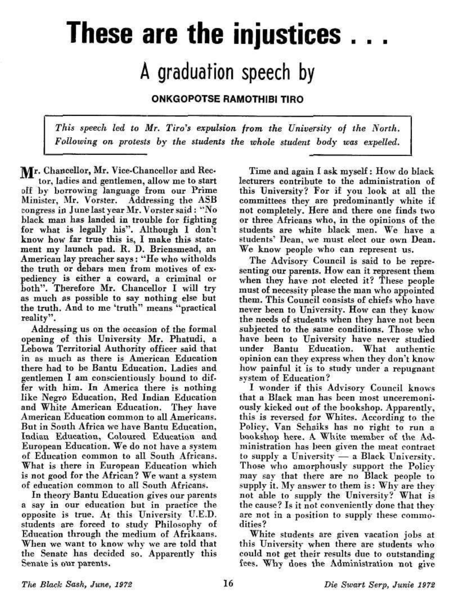## **These are the injustices .. .**

## A graduation speech by

ONKGOPOTSE RAMOTHIBI TIRO

*This speech led to Mr. Tiro's expulsion from the University of the North. Following on protests by the students the whole student body was expelled.* 

Mr. Chancellor, Mr. Vice-Chancellor and Rector, ladies and gentlemen, allow me to start off by borrowing language from our Prime Minister, Mr. Vorster. Addressing the ASB congress in June last year Mr. Vorster said: "No black man has landed in trouble for fighting for what is legally his". Although I don't know how far true this is, I make this statement my launch pad. R. D. Briensmead, an American lay preacher says: "He who witholds the truth or debars men from motives of expediency is either a coward, a criminal or both". Therefore Mr. Chancellor I will try as much as possible to say nothing else but the truth. And to me 'truth" means "practical reality".

Addressing us on the occasion of the formal opening of this University Mr. Phatudi, a Lebowa Territorial Authority officer said that in as much as there is American Education there had to be Bantu Education. Ladies and gentlemen I am conscientiously bound to differ with him. In America there is nothing like Negro Education, Red Indian Education and White American Education. They have American Education common to all Americans. But in South Africa we have Bantu Education, Indian Education, Coloured Education and European Education. We do not have a system of Education common to all South Africans. What is there in European Education which is not good for the African? We want a system of education common to all South Africans.

In theory Bantu Education gives our parents a say in our education but in practice the opposite is true. At this University U.E.D. students are forced to study Philosophy of Education through the medium of Afrikaans. When we want to know why we are told that the Senate has decided so. Apparently this Senate is our parents.

Time and again I ask myself: How do black lecturers contribute to the administration of this University? For if you look at all the committees they are predominantly white if not completely. Here and there one finds two or three Africans who, in the opinions of the students are white black men. We have a students' Dean, we must elect our own Dean. We know people who can represent us.

The Advisory Council is said to be representing our parents. How can it represent them when they have not elected it? These people must of necessity please the man who appointed them. This Council consists of chiefs who have never been to University. How can they know the needs of students when they have not been subjected to the same conditions. Those who have been to University have never studied under Bantu Education. What authentic opinion can they express when they don't know how painful it is to study under a repugnant system of Education?

I wonder if this Advisory Council knows that a Black man has been most unceremoniously kicked out of the bookshop. Apparently, this is reversed for Whites. According to the Policy. Van Schaiks has no right to run a bookshop here. A White member of the Administration has been given the meat contract to supply a University — a Black University. Those who amorphously support the Policy may gay that there are no Black people to supply it. My answer to them is: Why are they not able to supply the University? What is the cause? Is it not conveniently done that they are not in a position to supply these commodities?

White students are given vacation jobs at this University when there are students who could not get their results due to outstanding fees. Why does the Administration not give